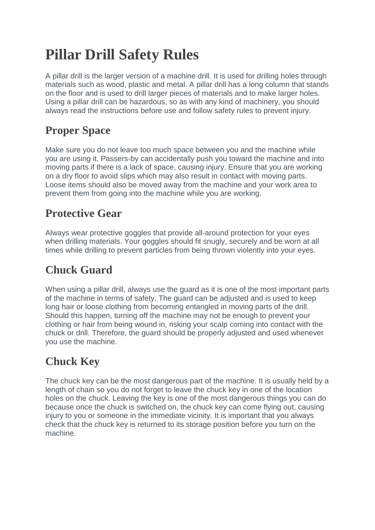# **Pillar Drill Safety Rules**

A pillar drill is the larger version of a machine drill. It is used for drilling holes through materials such as wood, plastic and metal. A pillar drill has a long column that stands on the floor and is used to drill larger pieces of materials and to make larger holes. Using a pillar drill can be hazardous, so as with any kind of machinery, you should always read the instructions before use and follow safety rules to prevent injury.

# **Proper Space**

Make sure you do not leave too much space between you and the machine while you are using it. Passers-by can accidentally push you toward the machine and into moving parts if there is a lack of space, causing injury. Ensure that you are working on a dry floor to avoid slips which may also result in contact with moving parts. Loose items should also be moved away from the machine and your work area to prevent them from going into the machine while you are working.

#### **Protective Gear**

Always wear protective goggles that provide all-around protection for your eyes when drilling materials. Your goggles should fit snugly, securely and be worn at all times while drilling to prevent particles from being thrown violently into your eyes.

## **Chuck Guard**

When using a pillar drill, always use the guard as it is one of the most important parts of the machine in terms of safety. The guard can be adjusted and is used to keep long hair or loose clothing from becoming entangled in moving parts of the drill. Should this happen, turning off the machine may not be enough to prevent your clothing or hair from being wound in, risking your scalp coming into contact with the chuck or drill. Therefore, the guard should be properly adjusted and used whenever you use the machine.

## **Chuck Key**

The chuck key can be the most dangerous part of the machine. It is usually held by a length of chain so you do not forget to leave the chuck key in one of the location holes on the chuck. Leaving the key is one of the most dangerous things you can do because once the chuck is switched on, the chuck key can come flying out, causing injury to you or someone in the immediate vicinity. It is important that you always check that the chuck key is returned to its storage position before you turn on the machine.